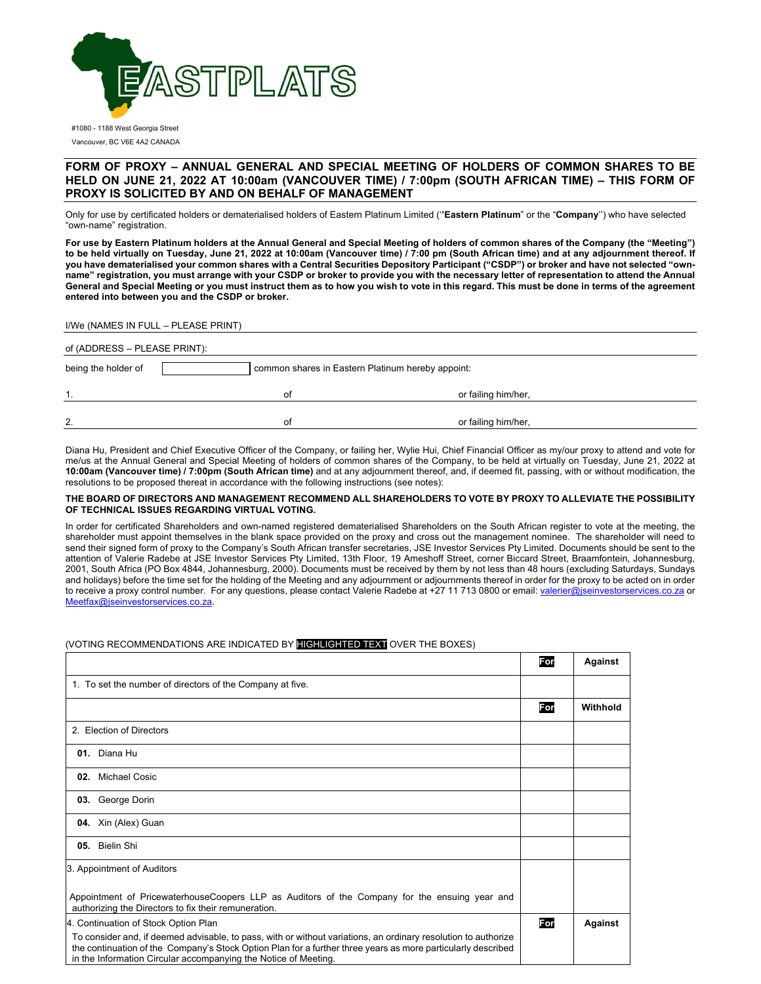

#1080 - 1188 West Georgia Street Vancouver, BC V6E 4A2 CANADA

## **FORM OF PROXY – ANNUAL GENERAL AND SPECIAL MEETING OF HOLDERS OF COMMON SHARES TO BE HELD ON JUNE 21, 2022 AT 10:00am (VANCOUVER TIME) / 7:00pm (SOUTH AFRICAN TIME) – THIS FORM OF PROXY IS SOLICITED BY AND ON BEHALF OF MANAGEMENT**

Only for use by certificated holders or dematerialised holders of Eastern Platinum Limited ('**'Eastern Platinum**" or the "**Company**'') who have selected "own-name" registration.

**For use by Eastern Platinum holders at the Annual General and Special Meeting of holders of common shares of the Company (the "Meeting") to be held virtually on Tuesday, June 21, 2022 at 10:00am (Vancouver time) / 7:00 pm (South African time) and at any adjournment thereof. If you have dematerialised your common shares with a Central Securities Depository Participant ("CSDP") or broker and have not selected "ownname" registration, you must arrange with your CSDP or broker to provide you with the necessary letter of representation to attend the Annual General and Special Meeting or you must instruct them as to how you wish to vote in this regard. This must be done in terms of the agreement entered into between you and the CSDP or broker.** 

| I/We (NAMES IN FULL – PLEASE PRINT) |  |
|-------------------------------------|--|
|-------------------------------------|--|

| of (ADDRESS – PLEASE PRINT): |                                                   |                     |  |  |  |
|------------------------------|---------------------------------------------------|---------------------|--|--|--|
| being the holder of          | common shares in Eastern Platinum hereby appoint: |                     |  |  |  |
|                              | 0t                                                | or failing him/her, |  |  |  |
| 2.                           | 0t                                                | or failing him/her, |  |  |  |

Diana Hu, President and Chief Executive Officer of the Company, or failing her, Wylie Hui, Chief Financial Officer as my/our proxy to attend and vote for me/us at the Annual General and Special Meeting of holders of common shares of the Company, to be held at virtually on Tuesday, June 21, 2022 at **10:00am (Vancouver time) / 7:00pm (South African time)** and at any adjournment thereof, and, if deemed fit, passing, with or without modification, the resolutions to be proposed thereat in accordance with the following instructions (see notes):

## **THE BOARD OF DIRECTORS AND MANAGEMENT RECOMMEND ALL SHAREHOLDERS TO VOTE BY PROXY TO ALLEVIATE THE POSSIBILITY OF TECHNICAL ISSUES REGARDING VIRTUAL VOTING.**

In order for certificated Shareholders and own-named registered dematerialised Shareholders on the South African register to vote at the meeting, the shareholder must appoint themselves in the blank space provided on the proxy and cross out the management nominee. The shareholder will need to send their signed form of proxy to the Company's South African transfer secretaries, JSE Investor Services Pty Limited. Documents should be sent to the attention of Valerie Radebe at JSE Investor Services Pty Limited, 13th Floor, 19 Ameshoff Street, corner Biccard Street, Braamfontein, Johannesburg, 2001, South Africa (PO Box 4844, Johannesburg, 2000). Documents must be received by them by not less than 48 hours (excluding Saturdays, Sundays and holidays) before the time set for the holding of the Meeting and any adjournment or adjournments thereof in order for the proxy to be acted on in order to receive a proxy control number. For any questions, please contact Valerie Radebe at +27 11 713 0800 or email: valerier@jseinvestorservices.co.za or Meetfax@jseinvestorservices.co.za.

## (VOTING RECOMMENDATIONS ARE INDICATED BY HIGHLIGHTED TEXT OVER THE BOXES)

|                                                                                                                                                                                                                                                                                                   | For | <b>Against</b> |
|---------------------------------------------------------------------------------------------------------------------------------------------------------------------------------------------------------------------------------------------------------------------------------------------------|-----|----------------|
| 1. To set the number of directors of the Company at five.                                                                                                                                                                                                                                         |     |                |
|                                                                                                                                                                                                                                                                                                   | For | Withhold       |
| 2. Election of Directors                                                                                                                                                                                                                                                                          |     |                |
| 01. Diana Hu                                                                                                                                                                                                                                                                                      |     |                |
| Michael Cosic<br>02.                                                                                                                                                                                                                                                                              |     |                |
| 03. George Dorin                                                                                                                                                                                                                                                                                  |     |                |
| <b>04.</b> Xin (Alex) Guan                                                                                                                                                                                                                                                                        |     |                |
| 05. Bielin Shi                                                                                                                                                                                                                                                                                    |     |                |
| 3. Appointment of Auditors                                                                                                                                                                                                                                                                        |     |                |
| Appointment of PricewaterhouseCoopers LLP as Auditors of the Company for the ensuing year and<br>authorizing the Directors to fix their remuneration.                                                                                                                                             |     |                |
| 4. Continuation of Stock Option Plan                                                                                                                                                                                                                                                              | For | Against        |
| To consider and, if deemed advisable, to pass, with or without variations, an ordinary resolution to authorize<br>the continuation of the Company's Stock Option Plan for a further three years as more particularly described<br>in the Information Circular accompanying the Notice of Meeting. |     |                |